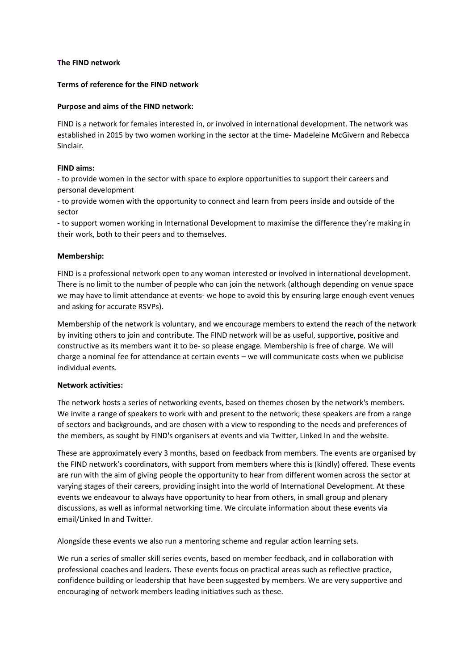## **The FIND network**

### **Terms of reference for the FIND network**

### **Purpose and aims of the FIND network:**

FIND is a network for females interested in, or involved in international development. The network was established in 2015 by two women working in the sector at the time- Madeleine McGivern and Rebecca Sinclair.

## **FIND aims:**

- to provide women in the sector with space to explore opportunities to support their careers and personal development

- to provide women with the opportunity to connect and learn from peers inside and outside of the sector

- to support women working in International Development to maximise the difference they're making in their work, both to their peers and to themselves.

## **Membership:**

FIND is a professional network open to any woman interested or involved in international development. There is no limit to the number of people who can join the network (although depending on venue space we may have to limit attendance at events- we hope to avoid this by ensuring large enough event venues and asking for accurate RSVPs).

Membership of the network is voluntary, and we encourage members to extend the reach of the network by inviting others to join and contribute. The FIND network will be as useful, supportive, positive and constructive as its members want it to be- so please engage. Membership is free of charge. We will charge a nominal fee for attendance at certain events – we will communicate costs when we publicise individual events.

# **Network activities:**

The network hosts a series of networking events, based on themes chosen by the network's members. We invite a range of speakers to work with and present to the network; these speakers are from a range of sectors and backgrounds, and are chosen with a view to responding to the needs and preferences of the members, as sought by FIND's organisers at events and via Twitter, Linked In and the website.

These are approximately every 3 months, based on feedback from members. The events are organised by the FIND network's coordinators, with support from members where this is (kindly) offered. These events are run with the aim of giving people the opportunity to hear from different women across the sector at varying stages of their careers, providing insight into the world of International Development. At these events we endeavour to always have opportunity to hear from others, in small group and plenary discussions, as well as informal networking time. We circulate information about these events via email/Linked In and Twitter.

Alongside these events we also run a mentoring scheme and regular action learning sets.

We run a series of smaller skill series events, based on member feedback, and in collaboration with professional coaches and leaders. These events focus on practical areas such as reflective practice, confidence building or leadership that have been suggested by members. We are very supportive and encouraging of network members leading initiatives such as these.